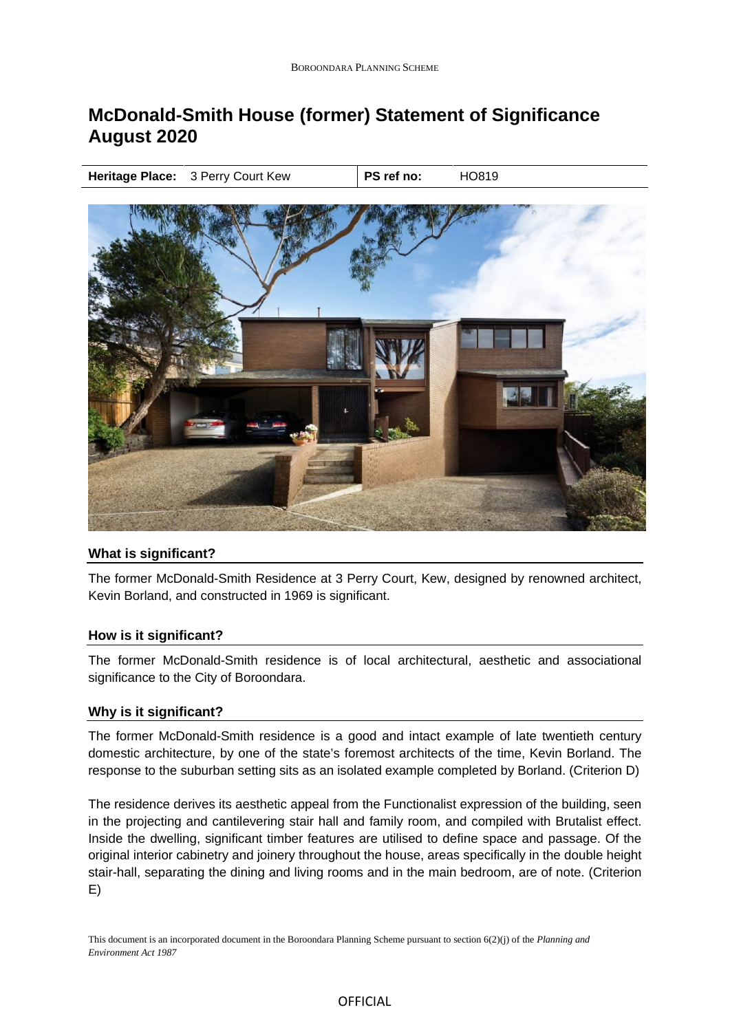# **McDonald-Smith House (former) Statement of Significance August 2020**

**Heritage Place:** 3 Perry Court Kew **PS ref no:** HO819



## **What is significant?**

The former McDonald-Smith Residence at 3 Perry Court, Kew, designed by renowned architect, Kevin Borland, and constructed in 1969 is significant.

## **How is it significant?**

The former McDonald-Smith residence is of local architectural, aesthetic and associational significance to the City of Boroondara.

## **Why is it significant?**

The former McDonald-Smith residence is a good and intact example of late twentieth century domestic architecture, by one of the state's foremost architects of the time, Kevin Borland. The response to the suburban setting sits as an isolated example completed by Borland. (Criterion D)

The residence derives its aesthetic appeal from the Functionalist expression of the building, seen in the projecting and cantilevering stair hall and family room, and compiled with Brutalist effect. Inside the dwelling, significant timber features are utilised to define space and passage. Of the original interior cabinetry and joinery throughout the house, areas specifically in the double height stair-hall, separating the dining and living rooms and in the main bedroom, are of note. (Criterion E)

This document is an incorporated document in the Boroondara Planning Scheme pursuant to section 6(2)(j) of the *Planning and Environment Act 1987*

#### OFFICIAL